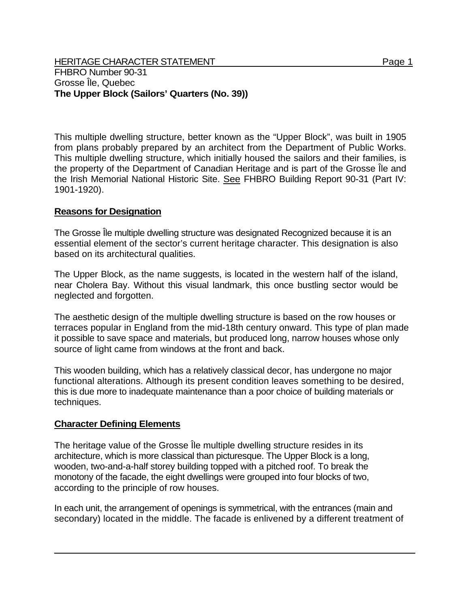HERITAGE CHARACTER STATEMENT FRIELD FOR A STATEMENT AND RAGE 1 FHBRO Number 90-31 Grosse Île, Quebec **The Upper Block (Sailors' Quarters (No. 39))** 

This multiple dwelling structure, better known as the "Upper Block", was built in 1905 from plans probably prepared by an architect from the Department of Public Works. This multiple dwelling structure, which initially housed the sailors and their families, is the property of the Department of Canadian Heritage and is part of the Grosse Île and the Irish Memorial National Historic Site. See FHBRO Building Report 90-31 (Part IV: 1901-1920).

## **Reasons for Designation**

The Grosse Île multiple dwelling structure was designated Recognized because it is an essential element of the sector's current heritage character. This designation is also based on its architectural qualities.

The Upper Block, as the name suggests, is located in the western half of the island, near Cholera Bay. Without this visual landmark, this once bustling sector would be neglected and forgotten.

The aesthetic design of the multiple dwelling structure is based on the row houses or terraces popular in England from the mid-18th century onward. This type of plan made it possible to save space and materials, but produced long, narrow houses whose only source of light came from windows at the front and back.

This wooden building, which has a relatively classical decor, has undergone no major functional alterations. Although its present condition leaves something to be desired, this is due more to inadequate maintenance than a poor choice of building materials or techniques.

## **Character Defining Elements**

The heritage value of the Grosse Île multiple dwelling structure resides in its architecture, which is more classical than picturesque. The Upper Block is a long, wooden, two-and-a-half storey building topped with a pitched roof. To break the monotony of the facade, the eight dwellings were grouped into four blocks of two, according to the principle of row houses.

In each unit, the arrangement of openings is symmetrical, with the entrances (main and secondary) located in the middle. The facade is enlivened by a different treatment of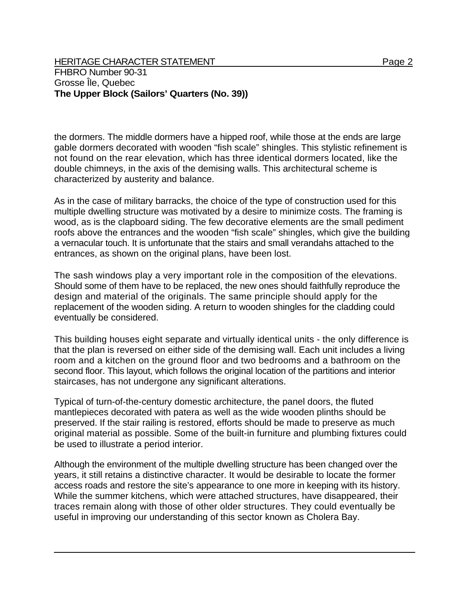the dormers. The middle dormers have a hipped roof, while those at the ends are large gable dormers decorated with wooden "fish scale" shingles. This stylistic refinement is not found on the rear elevation, which has three identical dormers located, like the double chimneys, in the axis of the demising walls. This architectural scheme is characterized by austerity and balance.

As in the case of military barracks, the choice of the type of construction used for this multiple dwelling structure was motivated by a desire to minimize costs. The framing is wood, as is the clapboard siding. The few decorative elements are the small pediment roofs above the entrances and the wooden "fish scale" shingles, which give the building a vernacular touch. It is unfortunate that the stairs and small verandahs attached to the entrances, as shown on the original plans, have been lost.

The sash windows play a very important role in the composition of the elevations. Should some of them have to be replaced, the new ones should faithfully reproduce the design and material of the originals. The same principle should apply for the replacement of the wooden siding. A return to wooden shingles for the cladding could eventually be considered.

This building houses eight separate and virtually identical units - the only difference is that the plan is reversed on either side of the demising wall. Each unit includes a living room and a kitchen on the ground floor and two bedrooms and a bathroom on the second floor. This layout, which follows the original location of the partitions and interior staircases, has not undergone any significant alterations.

Typical of turn-of-the-century domestic architecture, the panel doors, the fluted mantlepieces decorated with patera as well as the wide wooden plinths should be preserved. If the stair railing is restored, efforts should be made to preserve as much original material as possible. Some of the built-in furniture and plumbing fixtures could be used to illustrate a period interior.

Although the environment of the multiple dwelling structure has been changed over the years, it still retains a distinctive character. It would be desirable to locate the former access roads and restore the site's appearance to one more in keeping with its history. While the summer kitchens, which were attached structures, have disappeared, their traces remain along with those of other older structures. They could eventually be useful in improving our understanding of this sector known as Cholera Bay.